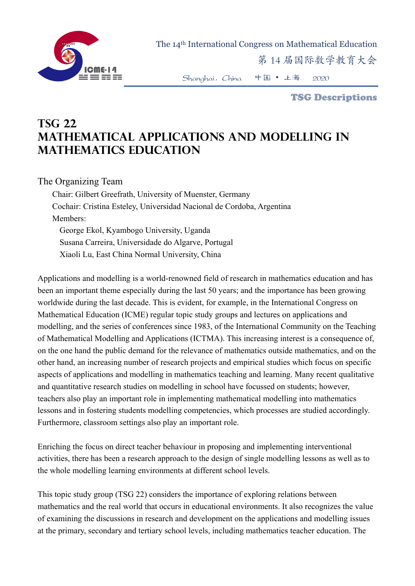

The 14th International Congress on Mathematical Education

第 14 届国际数学教育大会

Shanghai,China 中国 • 上海 2020

TSG Descriptions

## **TSG 22 Mathematical applications and modelling in mathematics education**

## The Organizing Team

Chair: Gilbert Greefrath, University of Muenster, Germany Cochair: Cristina Esteley, Universidad Nacional de Cordoba, Argentina Members: George Ekol, Kyambogo University, Uganda Susana Carreira, Universidade do Algarve, Portugal Xiaoli Lu, East China Normal University, China

Applications and modelling is a world-renowned field of research in mathematics education and has been an important theme especially during the last 50 years; and the importance has been growing worldwide during the last decade. This is evident, for example, in the International Congress on Mathematical Education (ICME) regular topic study groups and lectures on applications and modelling, and the series of conferences since 1983, of the International Community on the Teaching of Mathematical Modelling and Applications (ICTMA). This increasing interest is a consequence of, on the one hand the public demand for the relevance of mathematics outside mathematics, and on the other hand, an increasing number of research projects and empirical studies which focus on specific aspects of applications and modelling in mathematics teaching and learning. Many recent qualitative and quantitative research studies on modelling in school have focussed on students; however, teachers also play an important role in implementing mathematical modelling into mathematics lessons and in fostering students modelling competencies, which processes are studied accordingly. Furthermore, classroom settings also play an important role.

Enriching the focus on direct teacher behaviour in proposing and implementing interventional activities, there has been a research approach to the design of single modelling lessons as well as to the whole modelling learning environments at different school levels.

This topic study group (TSG 22) considers the importance of exploring relations between mathematics and the real world that occurs in educational environments. It also recognizes the value of examining the discussions in research and development on the applications and modelling issues at the primary, secondary and tertiary school levels, including mathematics teacher education. The